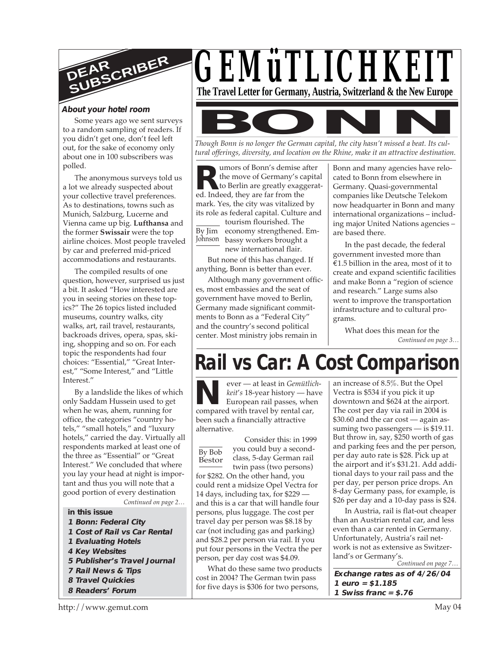

#### **About your hotel room**

Some years ago we sent surveys to a random sampling of readers. If you didn't get one, don't feel left out, for the sake of economy only about one in 100 subscribers was polled.

The anonymous surveys told us a lot we already suspected about your collective travel preferences. As to destinations, towns such as Munich, Salzburg, Lucerne and Vienna came up big. **Lufthansa** and the former **Swissair** were the top airline choices. Most people traveled by car and preferred mid-priced accommodations and restaurants.

The compiled results of one question, however, surprised us just a bit. It asked "How interested are you in seeing stories on these topics?" The 26 topics listed included museums, country walks, city walks, art, rail travel, restaurants, backroads drives, opera, spas, skiing, shopping and so on. For each topic the respondents had four choices: "Essential," "Great Interest," "Some Interest," and "Little Interest."

By a landslide the likes of which only Saddam Hussein used to get when he was, ahem, running for office, the categories "country hotels," "small hotels," and "luxury hotels," carried the day. Virtually all respondents marked at least one of the three as "Essential" or "Great Interest." We concluded that where you lay your head at night is important and thus you will note that a good portion of every destination

*Continued on page 2…*

- **in this issue**
- **1 Bonn: Federal City**
- **1 Cost of Rail vs Car Rental**
- **1 Evaluating Hotels**
- **4 Key Websites**
- **5 Publisher's Travel Journal**
- **7 Rail News & Tips**
- **8 Travel Quickies**
- **8 Readers' Forum**





*Though Bonn is no longer the German capital, the city hasn't missed a beat. Its cultural offerings, diversity, and location on the Rhine, make it an attractive destination.*

**R**the move of Germany's can be move of Germany's can be been the Berlin are greatly exagged. Indeed, they are far from the umors of Bonn's demise after the move of Germany's capital to Berlin are greatly exaggeratmark. Yes, the city was vitalized by its role as federal capital. Culture and

By Jim economy strengthened. Em-Johnson bassy workers brought a tourism flourished. The new international flair.

But none of this has changed. If anything, Bonn is better than ever.

Although many government offices, most embassies and the seat of government have moved to Berlin, Germany made significant commitments to Bonn as a "Federal City" and the country's second political center. Most ministry jobs remain in

Bonn and many agencies have relocated to Bonn from elsewhere in Germany. Quasi-governmental companies like Deutsche Telekom now headquarter in Bonn and many international organizations – including major United Nations agencies – are based there.

In the past decade, the federal government invested more than €1.5 billion in the area, most of it to create and expand scientific facilities and make Bonn a "region of science and research." Large sums also went to improve the transportation infrastructure and to cultural programs.

*Continued on page 3…* What does this mean for the

# **Rail vs Car: A Cost Comparison**

**N**ever — at least in *Gemütlic*<br> *keit's* 18-year history — ha<br>
European rail passes, whe<br>
compared with travel by rental car, ever — at least in *Gemütlichkeit*'*s* 18-year history — have European rail passes, when been such a financially attractive alternative.

#### By Bob Bestor Consider this: in 1999 you could buy a secondclass, 5-day German rail twin pass (two persons) for \$282. On the other hand, you could rent a midsize Opel Vectra for 14 days, including tax, for \$229 and this is a car that will handle four persons, plus luggage. The cost per travel day per person was \$8.18 by car (not including gas and parking) and \$28.2 per person via rail. If you put four persons in the Vectra the per person, per day cost was \$4.09.

What do these same two products cost in 2004? The German twin pass for five days is \$306 for two persons,

an increase of 8.5%. But the Opel Vectra is \$534 if you pick it up downtown and \$624 at the airport. The cost per day via rail in 2004 is \$30.60 and the car cost — again assuming two passengers — is \$19.11. But throw in, say, \$250 worth of gas and parking fees and the per person, per day auto rate is \$28. Pick up at the airport and it's \$31.21. Add additional days to your rail pass and the per day, per person price drops. An 8-day Germany pass, for example, is \$26 per day and a 10-day pass is \$24.

In Austria, rail is flat-out cheaper than an Austrian rental car, and less even than a car rented in Germany. Unfortunately, Austria's rail network is not as extensive as Switzerland's or Germany's.

*Continued on page 7…*

**Exchange rates as of 4/26/04 1 euro = \$1.185 1 Swiss franc = \$.76**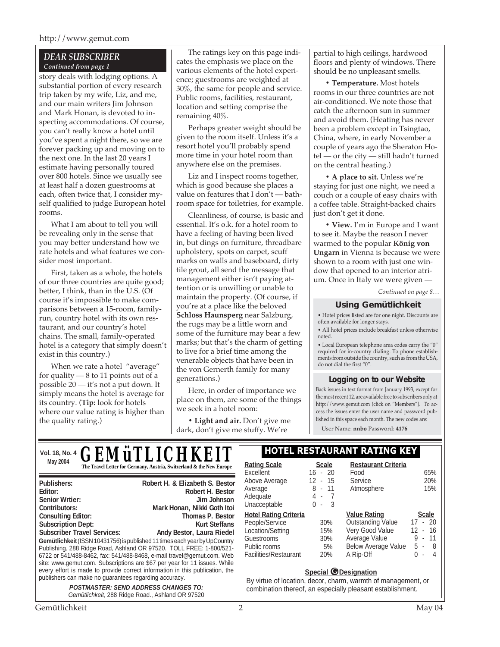#### http://www.gemut.com

#### *DEAR SUBSCRIBER Continued from page 1*

story deals with lodging options. A substantial portion of every research trip taken by my wife, Liz, and me, and our main writers Jim Johnson and Mark Honan, is devoted to inspecting accommodations. Of course, you can't really know a hotel until you've spent a night there, so we are forever packing up and moving on to the next one. In the last 20 years I estimate having personally toured over 800 hotels. Since we usually see at least half a dozen guestrooms at each, often twice that, I consider myself qualified to judge European hotel rooms.

What I am about to tell you will be revealing only in the sense that you may better understand how we rate hotels and what features we consider most important.

First, taken as a whole, the hotels of our three countries are quite good; better, I think, than in the U.S. (Of course it's impossible to make comparisons between a 15-room, familyrun, country hotel with its own restaurant, and our country's hotel chains. The small, family-operated hotel is a category that simply doesn't exist in this country.)

When we rate a hotel "average" for quality — 8 to 11 points out of a possible 20 — it's not a put down. It simply means the hotel is average for its country. (**Tip:** look for hotels where our value rating is higher than the quality rating.)

The ratings key on this page indicates the emphasis we place on the various elements of the hotel experience; guestrooms are weighted at 30%, the same for people and service. Public rooms, facilities, restaurant, location and setting comprise the remaining 40%.

Perhaps greater weight should be given to the room itself. Unless it's a resort hotel you'll probably spend more time in your hotel room than anywhere else on the premises.

Liz and I inspect rooms together, which is good because she places a value on features that I don't — bathroom space for toiletries, for example.

Cleanliness, of course, is basic and essential. It's o.k. for a hotel room to have a feeling of having been lived in, but dings on furniture, threadbare upholstery, spots on carpet, scuff marks on walls and baseboard, dirty tile grout, all send the message that management either isn't paying attention or is unwilling or unable to maintain the property. (Of course, if you're at a place like the beloved **Schloss Haunsperg** near Salzburg, the rugs may be a little worn and some of the furniture may bear a few marks; but that's the charm of getting to live for a brief time among the venerable objects that have been in the von Gernerth family for many generations.)

Here, in order of importance we place on them, are some of the things we seek in a hotel room:

**• Light and air.** Don't give me dark, don't give me stuffy. We're

partial to high ceilings, hardwood floors and plenty of windows. There should be no unpleasant smells.

**• Temperature.** Most hotels rooms in our three countries are not air-conditioned. We note those that catch the afternoon sun in summer and avoid them. (Heating has never been a problem except in Tsingtao, China, where, in early November a couple of years ago the Sheraton Hotel — or the city — still hadn't turned on the central heating.)

**• A place to sit.** Unless we're staying for just one night, we need a couch or a couple of easy chairs with a coffee table. Straight-backed chairs just don't get it done.

**• View.** I'm in Europe and I want to see it. Maybe the reason I never warmed to the popular **König von Ungarn** in Vienna is because we were shown to a room with just one window that opened to an interior atrium. Once in Italy we were given —

*Continued on page 8…*

#### **Using Gemütlichkeit**

• Hotel prices listed are for one night. Discounts are often available for longer stays.

• All hotel prices include breakfast unless otherwise noted.

• Local European telephone area codes carry the "0" required for in-country dialing. To phone establishments from outside the country, such as from the USA, do not dial the first "0".

#### **Logging on to our Website**

Back issues in text format from January 1993, except for the most recent 12, are available free to subscribers only at http://www.gemut.com (click on "Members"). To access the issues enter the user name and password published in this space each month. The new codes are:

User Name: **nnbo** Password: **4176**

# **Vol. 18, No. 4 HOTEL RESTAURANT RATING KEY** *GEMüTLICHKEIT* **May 2004 Rating Scale Rating Scale Rating Scale Rating Scale Rating Scale Scale Scale Rating Scale Scale**

| Publishers:                                           | Robert H. & Elizabeth S. Bestor                                              |
|-------------------------------------------------------|------------------------------------------------------------------------------|
| Editor:                                               | Robert H. Bestor                                                             |
| <b>Senior Wrtier:</b>                                 | Jim Johnson                                                                  |
| Contributors:                                         | Mark Honan, Nikki Goth Itoi                                                  |
| <b>Consulting Editor:</b>                             | <b>Thomas P. Bestor</b>                                                      |
| <b>Subscription Dept:</b>                             | <b>Kurt Steffans</b>                                                         |
| <b>Subscriber Travel Services:</b>                    | Andy Bestor, Laura Riedel                                                    |
|                                                       | Gemütlichkeit (ISSN 10431756) is published 11 times each year by UpCountry   |
|                                                       | Publishing, 288 Ridge Road, Ashland OR 97520. TOLL FREE: 1-800/521-          |
|                                                       | 6722 or 541/488-8462, fax: 541/488-8468, e-mail travel@gemut.com. Web        |
|                                                       | site: www.gemut.com. Subscriptions are \$67 per year for 11 issues. While    |
|                                                       | every effort is made to provide correct information in this publication, the |
| publishers can make no guarantees regarding accuracy. |                                                                              |
|                                                       | <b>POSTMASTER: SEND ADDRESS CHANGES TO:</b>                                  |

Gemütlichkeit, 288 Ridge Road., Ashland OR 97520

# **Restaurant Criteria**

| Rating Scale                 | <b>Scale</b> | Restaurant Criteria        |                  |  |  |  |  |  |
|------------------------------|--------------|----------------------------|------------------|--|--|--|--|--|
| Excellent                    | $16 - 20$    | Food                       | 65%              |  |  |  |  |  |
| Above Average                | 12 - 15      | Service                    | 20%              |  |  |  |  |  |
| Average                      | 8 - 11       | Atmosphere                 | 15%              |  |  |  |  |  |
| Adequate                     | 4 -<br>-7    |                            |                  |  |  |  |  |  |
| Unacceptable                 | 3<br>ი -     |                            |                  |  |  |  |  |  |
| <b>Hotel Rating Criteria</b> |              | <b>Value Rating</b>        | <b>Scale</b>     |  |  |  |  |  |
| People/Service               | 30%          | <b>Outstanding Value</b>   | $-20$<br>17      |  |  |  |  |  |
| Location/Setting             | 15%          | Very Good Value            | $12 - 16$        |  |  |  |  |  |
| Guestrooms                   | 30%          | Average Value              | $-11$<br>9<br>ä, |  |  |  |  |  |
| Public rooms                 | 5%           | <b>Below Average Value</b> | 5 -<br>-8        |  |  |  |  |  |
| Facilities/Restaurant        | 20%          | A Rip-Off                  | 4<br>O.<br>ä,    |  |  |  |  |  |
|                              |              |                            |                  |  |  |  |  |  |

#### **Special** *O* Designation

By virtue of location, decor, charm, warmth of management, or combination thereof, an especially pleasant establishment.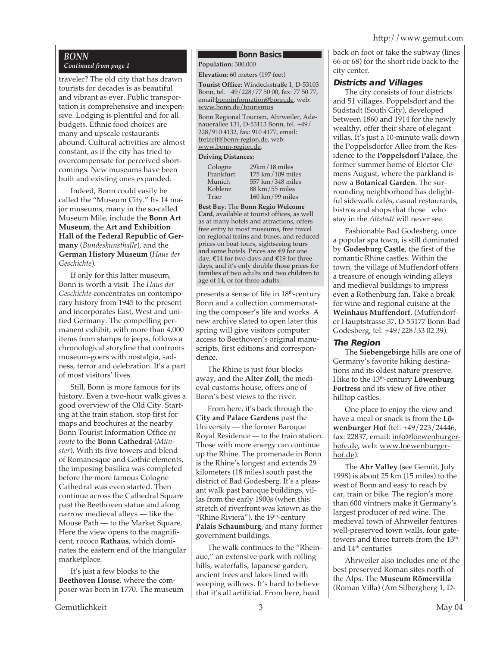# *BONN*

## *Continued from page 1*

traveler? The old city that has drawn tourists for decades is as beautiful and vibrant as ever. Public transportation is comprehensive and inexpensive. Lodging is plentiful and for all budgets. Ethnic food choices are many and upscale restaurants abound. Cultural activities are almost constant, as if the city has tried to overcompensate for perceived shortcomings. New museums have been built and existing ones expanded.

Indeed, Bonn could easily be called the "Museum City." Its 14 major museums, many in the so-called Museum Mile, include the **Bonn Art Museum**, the **Art and Exhibition Hall of the Federal Republic of Germany** (*Bundeskunsthalle*), and the **German History Museum** (*Haus der Geschichte*).

If only for this latter museum, Bonn is worth a visit. The *Haus der Geschichte* concentrates on contemporary history from 1945 to the present and incorporates East, West and unified Germany. The compelling permanent exhibit, with more than 4,000 items from stamps to jeeps, follows a chronological storyline that confronts museum-goers with nostalgia, sadness, terror and celebration. It's a part of most visitors' lives.

Still, Bonn is more famous for its history. Even a two-hour walk gives a good overview of the Old City. Starting at the train station, stop first for maps and brochures at the nearby Bonn Tourist Information Office *en route* to the **Bonn Cathedral** (*Münster*). With its five towers and blend of Romanesque and Gothic elements, the imposing basilica was completed before the more famous Cologne Cathedral was even started. Then continue across the Cathedral Square past the Beethoven statue and along narrow medieval alleys — like the Mouse Path — to the Market Square. Here the view opens to the magnificent, rococo **Rathaus**, which dominates the eastern end of the triangular marketplace.

It's just a few blocks to the **Beethoven House**, where the composer was born in 1770. The museum

#### **Bonn Basics**

**Population:** 300,000

**Elevation:** 60 meters (197 feet)

**Tourist Office:** Windeckstraße 1, D-53103 Bonn, tel. +49/228/77 50 00, fax: 77 50 77, email:bonninformation@bonn.de, web: www.bonn.de/tourismus

Bonn Regional Tourism, Ahrweiler, Adenauerallee 131, D-53113 Bonn, tel. +49/ 228/910 4132, fax: 910 4177, email: freizeit@bonn-region.de, web: www.bonn-region.de.

> miles miles

#### **Driving Distances:**

| Cologne   | $29km/18$ miles   |
|-----------|-------------------|
| Frankfurt | 175 km / 109 mile |
| Munich    | 557 km/348 mile   |
| Koblenz   | 88 km/55 miles    |
| Trier     | 160 km / 99 miles |

**Best Buy**: The **Bonn Regio Welcome Card**, available at tourist offices, as well as at many hotels and attractions, offers free entry to most museums, free travel on regional trains and buses, and reduced prices on boat tours, sightseeing tours and some hotels. Prices are €9 for one day, €14 for two days and €19 for three days, and it's only double those prices for families of two adults and two children to age of 14, or for three adults.

presents a sense of life in 18<sup>th</sup>-century Bonn and a collection commemorating the composer's life and works. A new archive slated to open later this spring will give visitors computer access to Beethoven's original manuscripts, first editions and correspondence.

The Rhine is just four blocks away, and the **Alter Zoll**, the medieval customs house, offers one of Bonn's best views to the river.

From here, it's back through the **City and Palace Gardens** past the University — the former Baroque Royal Residence — to the train station. Those with more energy can continue up the Rhine. The promenade in Bonn is the Rhine's longest and extends 29 kilometers (18 miles) south past the district of Bad Godesberg. It's a pleasant walk past baroque buildings, villas from the early 1900s (when this stretch of riverfront was known as the "Rhine Riviera"), the 19<sup>th</sup>-century **Palais Schaumburg**, and many former government buildings.

The walk continues to the "Rheinaue," an extensive park with rolling hills, waterfalls, Japanese garden, ancient trees and lakes lined with weeping willows. It's hard to believe that it's all artificial. From here, head

back on foot or take the subway (lines 66 or 68) for the short ride back to the city center.

## **Districts and Villages**

The city consists of four districts and 51 villages. Poppelsdorf and the Südstadt (South City), developed between 1860 and 1914 for the newly wealthy, offer their share of elegant villas. It's just a 10-minute walk down the Poppelsdorfer Allee from the Residence to the **Poppelsdorf Palace**, the former summer home of Elector Clemens August, where the parkland is now a **Botanical Garden**. The surrounding neighborhood has delightful sidewalk cafés, casual restaurants, bistros and shops that those who stay in the *Altstadt* will never see.

Fashionable Bad Godesberg, once a popular spa town, is still dominated by **Godesburg Castle**, the first of the romantic Rhine castles. Within the town, the village of Muffendorf offers a treasure of enough winding alleys and medieval buildings to impress even a Rothenburg fan. Take a break for wine and regional cuisine at the **Weinhaus Muffendorf**, (Muffendorfer Hauptstrasse 37, D-53177 Bonn-Bad Godesberg, tel. +49/228/33 02 39).

#### **The Region**

The **Siebengebirge** hills are one of Germany's favorite hiking destinations and its oldest nature preserve. Hike to the 13<sup>th</sup>-century **Löwenburg Fortress** and its view of five other hilltop castles.

One place to enjoy the view and have a meal or snack is from the **Löwenburger Hof** (tel: +49/223/24446, fax: 22837, email: info@loewenburgerhofe.de, web: www.loewenburgerhof.de).

The **Ahr Valley** (see Gemüt, July 1998) is about 25 km (15 miles) to the west of Bonn and easy to reach by car, train or bike. The region's more than 600 vintners make it Germany's largest producer of red wine. The medieval town of Ahrweiler features well-preserved town walls, four gatetowers and three turrets from the 13<sup>th</sup> and 14<sup>th</sup> centuries

Ahrweiler also includes one of the best preserved Roman sites north of the Alps. The **Museum Römervilla** (Roman Villa) (Am Silbergberg 1, D-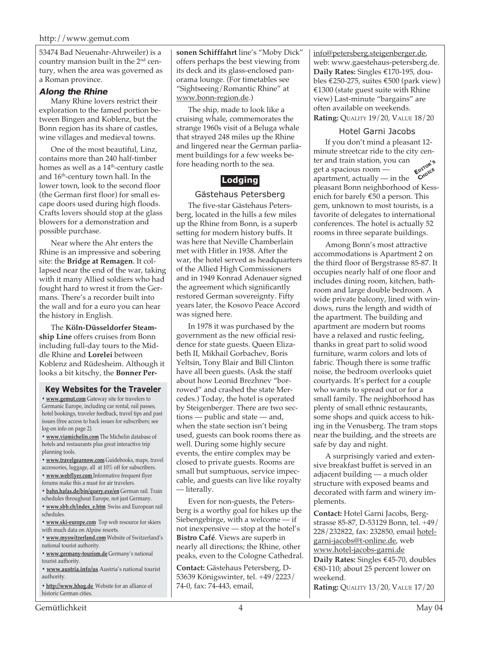53474 Bad Neuenahr-Ahrweiler) is a country mansion built in the 2<sup>nd</sup> century, when the area was governed as a Roman province.

#### **Along the Rhine**

Many Rhine lovers restrict their exploration to the famed portion between Bingen and Koblenz, but the Bonn region has its share of castles, wine villages and medieval towns.

One of the most beautiful, Linz, contains more than 240 half-timber homes as well as a 14<sup>th</sup>-century castle and 16th-century town hall. In the lower town, look to the second floor (the German first floor) for small escape doors used during high floods. Crafts lovers should stop at the glass blowers for a demonstration and possible purchase.

Near where the Ahr enters the Rhine is an impressive and sobering site: the **Bridge at Remagen**. It collapsed near the end of the war, taking with it many Allied soldiers who had fought hard to wrest it from the Germans. There's a recorder built into the wall and for a euro you can hear the history in English.

The **Köln-Düsseldorfer Steamship Line** offers cruises from Bonn including full-day tours to the Middle Rhine and **Lorelei** between Koblenz and Rüdesheim. Although it looks a bit kitschy, the **Bonner Per-**

#### **Key Websites for the Traveler**

**• www.gemut.com** Gateway site for travelers to Germanic Europe, including car rental, rail passes, hotel bookings, traveler feedback, travel tips and past issues (free access to back issues for subscribers; see log-on info on page 2).

**• www.viamichelin.com** The Michelin database of hotels and restaurants plus great interactive trip planning tools.

**• www.travelgearnow.com** Guidebooks, maps, travel accessories, luggage, all at 10% off for subscribers.

- **www.webflyer.com** Informative frequent flyer forums make this a must for air travelers.
- **bahn.hafas.de/bin/query.exe/en** German rail. Train
- schedules throughout Europe, not just Germany.
- **www.sbb.ch/index\_e.htm** Swiss and European rail schedules.
- **www.ski-europe.com** Top web resource for skiers with much data on Alpine resorts.
- **www.myswitzerland.com** Website of Switzerland's national tourist authority.
- **www.germany-tourism.de** Germany's national tourist authority.
- **www.austria.info/us** Austria's national tourist authority.
- **http://www.hhog.de** Website for an alliance of historic German cities.

**sonen Schifffahrt** line's "Moby Dick" offers perhaps the best viewing from its deck and its glass-enclosed panorama lounge. (For timetables see "Sightseeing/Romantic Rhine" at www.bonn-region.de.)

The ship, made to look like a cruising whale, commemorates the strange 1960s visit of a Beluga whale that strayed 248 miles up the Rhine and lingered near the German parliament buildings for a few weeks before heading north to the sea.

# **Lodging**

#### Gästehaus Petersberg

The five-star Gästehaus Petersberg, located in the hills a few miles up the Rhine from Bonn, is a superb setting for modern history buffs. It was here that Neville Chamberlain met with Hitler in 1938. After the war, the hotel served as headquarters of the Allied High Commissioners and in 1949 Konrad Adenauer signed the agreement which significantly restored German sovereignty. Fifty years later, the Kosovo Peace Accord was signed here.

In 1978 it was purchased by the government as the new official residence for state guests. Queen Elizabeth II, Mikhail Gorbachev, Boris Yeltsin, Tony Blair and Bill Clinton have all been guests. (Ask the staff about how Leonid Brezhnev "borrowed" and crashed the state Mercedes.) Today, the hotel is operated by Steigenberger. There are two sections — public and state — and, when the state section isn't being used, guests can book rooms there as well. During some highly secure events, the entire complex may be closed to private guests. Rooms are small but sumptuous, service impeccable, and guests can live like royalty — literally.

Even for non-guests, the Petersberg is a worthy goal for hikes up the Siebengebirge, with a welcome — if not inexpensive — stop at the hotel's **Bistro Café**. Views are superb in nearly all directions; the Rhine, other peaks, even to the Cologne Cathedral.

**Contact:** Gästehaus Petersberg, D-53639 Königswinter, tel. +49/2223/ 74-0, fax: 74-443, email,

info@petersberg.steigenberger.de, web: www.gaestehaus-petersberg.de. **Daily Rates:** Singles €170-195, doubles €250-275, suites €500 (park view) €1300 (state guest suite with Rhine view) Last-minute "bargains" are often available on weekends. **Rating:** QUALITY 19/20, VALUE 18/20

#### Hotel Garni Jacobs

If you don't mind a pleasant 12 minute streetcar ride to the city center and train station, you can get a spacious room apartment, actually — in the pleasant Bonn neighborhood of Kessenich for barely €50 a person. This gem, unknown to most tourists, is a favorite of delegates to international conferences. The hotel is actually 52 rooms in three separate buildings. **EDITOR'<sup>S</sup> CHOICE**

Among Bonn's most attractive accommodations is Apartment 2 on the third floor of Bergstrasse 85-87. It occupies nearly half of one floor and includes dining room, kitchen, bathroom and large double bedroom. A wide private balcony, lined with windows, runs the length and width of the apartment. The building and apartment are modern but rooms have a relaxed and rustic feeling, thanks in great part to solid wood furniture, warm colors and lots of fabric. Though there is some traffic noise, the bedroom overlooks quiet courtyards. It's perfect for a couple who wants to spread out or for a small family. The neighborhood has plenty of small ethnic restaurants, some shops and quick access to hiking in the Venusberg. The tram stops near the building, and the streets are safe by day and night.

A surprisingly varied and extensive breakfast buffet is served in an adjacent building — a much older structure with exposed beams and decorated with farm and winery implements.

**Contact:** Hotel Garni Jacobs, Bergstrasse 85-87, D-53129 Bonn, tel. +49/ 228/232822, fax: 232850, email hotelgarni-jacobs@t-online.de, web www.hotel-jacobs-garni.de **Daily Rates:** Singles €45-70, doubles €80-110; about 25 percent lower on weekend. **Rating:** QUALITY 13/20, VALUE 17/20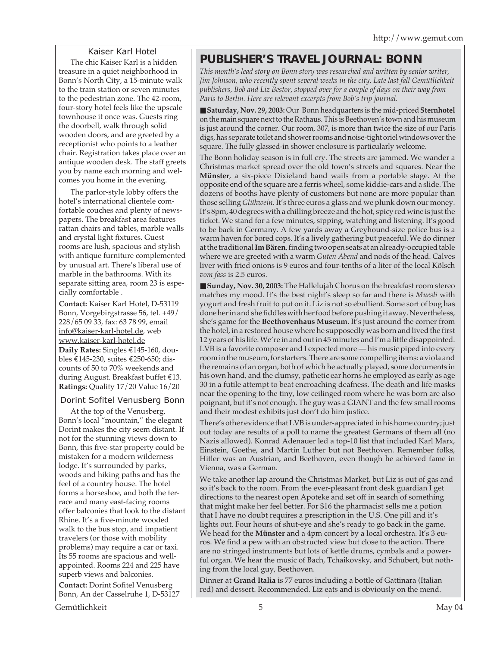## Kaiser Karl Hotel

The chic Kaiser Karl is a hidden treasure in a quiet neighborhood in Bonn's North City, a 15-minute walk to the train station or seven minutes to the pedestrian zone. The 42-room, four-story hotel feels like the upscale townhouse it once was. Guests ring the doorbell, walk through solid wooden doors, and are greeted by a receptionist who points to a leather chair. Registration takes place over an antique wooden desk. The staff greets you by name each morning and welcomes you home in the evening.

The parlor-style lobby offers the hotel's international clientele comfortable couches and plenty of newspapers. The breakfast area features rattan chairs and tables, marble walls and crystal light fixtures. Guest rooms are lush, spacious and stylish with antique furniture complemented by unusual art. There's liberal use of marble in the bathrooms. With its separate sitting area, room 23 is especially comfortable .

**Contact:** Kaiser Karl Hotel, D-53119 Bonn, Vorgebirgstrasse 56, tel. +49/ 228/65 09 33, fax: 63 78 99, email info@kaiser-karl-hotel.de, web www.kaiser-karl-hotel.de **Daily Rates:** Singles €145-160, doubles €145-230, suites €250-650; discounts of 50 to 70% weekends and during August. Breakfast buffet €13. **Ratings:** Quality 17/20 Value 16/20

## Dorint Sofitel Venusberg Bonn

At the top of the Venusberg, Bonn's local "mountain," the elegant Dorint makes the city seem distant. If not for the stunning views down to Bonn, this five-star property could be mistaken for a modern wilderness lodge. It's surrounded by parks, woods and hiking paths and has the feel of a country house. The hotel forms a horseshoe, and both the terrace and many east-facing rooms offer balconies that look to the distant Rhine. It's a five-minute wooded walk to the bus stop, and impatient travelers (or those with mobility problems) may require a car or taxi. Its 55 rooms are spacious and wellappointed. Rooms 224 and 225 have superb views and balconies.

**Contact:** Dorint Sofitel Venusberg Bonn, An der Casselruhe 1, D-53127

# **PUBLISHER'S TRAVEL JOURNAL: BONN**

*This month's lead story on Bonn story was researched and written by senior writer, Jim Johnson, who recently spent several weeks in the city. Late last fall Gemütlichkeit publishers, Bob and Liz Bestor, stopped over for a couple of days on their way from Paris to Berlin. Here are relevant excerpts from Bob's trip journal.*

■ Saturday, Nov. 29, 2003: Our Bonn headquarters is the mid-priced Sternhotel on the main square next to the Rathaus. This is Beethoven's town and his museum is just around the corner. Our room, 307, is more than twice the size of our Paris digs, has separate toilet and shower rooms and noise-tight oriel windows over the square. The fully glassed-in shower enclosure is particularly welcome.

The Bonn holiday season is in full cry. The streets are jammed. We wander a Christmas market spread over the old town's streets and squares. Near the **Münster**, a six-piece Dixieland band wails from a portable stage. At the opposite end of the square are a ferris wheel, some kiddie-cars and a slide. The dozens of booths have plenty of customers but none are more popular than those selling *Glühwein*. It's three euros a glass and we plunk down our money. It's 8pm, 40 degrees with a chilling breeze and the hot, spicy red wine is just the ticket. We stand for a few minutes, sipping, watching and listening. It's good to be back in Germany. A few yards away a Greyhound-size police bus is a warm haven for bored cops. It's a lively gathering but peaceful. We do dinner at the traditional **Im Bären**, finding two open seats at an already-occupied table where we are greeted with a warm *Guten Abend* and nods of the head. Calves liver with fried onions is 9 euros and four-tenths of a liter of the local Kölsch *vom fass* is 2.5 euros.

■ **Sunday, Nov. 30, 2003:** The Hallelujah Chorus on the breakfast room stereo matches my mood. It's the best night's sleep so far and there is *Muesli* with yogurt and fresh fruit to put on it. Liz is not so ebullient. Some sort of bug has done her in and she fiddles with her food before pushing it away. Nevertheless, she's game for the **Beethovenhaus Museum**. It's just around the corner from the hotel, in a restored house where he supposedly was born and lived the first 12 years of his life. We're in and out in 45 minutes and I'm a little disappointed. LVB is a favorite composer and I expected more — his music piped into every room in the museum, for starters. There are some compelling items: a viola and the remains of an organ, both of which he actually played, some documents in his own hand, and the clumsy, pathetic ear horns he employed as early as age 30 in a futile attempt to beat encroaching deafness. The death and life masks near the opening to the tiny, low ceilinged room where he was born are also poignant, but it's not enough. The guy was a GIANT and the few small rooms and their modest exhibits just don't do him justice.

There's other evidence that LVB is under-appreciated in his home country; just out today are results of a poll to name the greatest Germans of them all (no Nazis allowed). Konrad Adenauer led a top-10 list that included Karl Marx, Einstein, Goethe, and Martin Luther but not Beethoven. Remember folks, Hitler was an Austrian, and Beethoven, even though he achieved fame in Vienna, was a German.

We take another lap around the Christmas Market, but Liz is out of gas and so it's back to the room. From the ever-pleasant front desk guardian I get directions to the nearest open Apoteke and set off in search of something that might make her feel better. For \$16 the pharmacist sells me a potion that I have no doubt requires a prescription in the U.S. One pill and it's lights out. Four hours of shut-eye and she's ready to go back in the game. We head for the **Münster** and a 4pm concert by a local orchestra. It's 3 euros. We find a pew with an obstructed view but close to the action. There are no stringed instruments but lots of kettle drums, cymbals and a powerful organ. We hear the music of Bach, Tchaikovsky, and Schubert, but nothing from the local guy, Beethoven.

Dinner at **Grand Italia** is 77 euros including a bottle of Gattinara (Italian red) and dessert. Recommended. Liz eats and is obviously on the mend.

Gemütlichkeit 5 May 04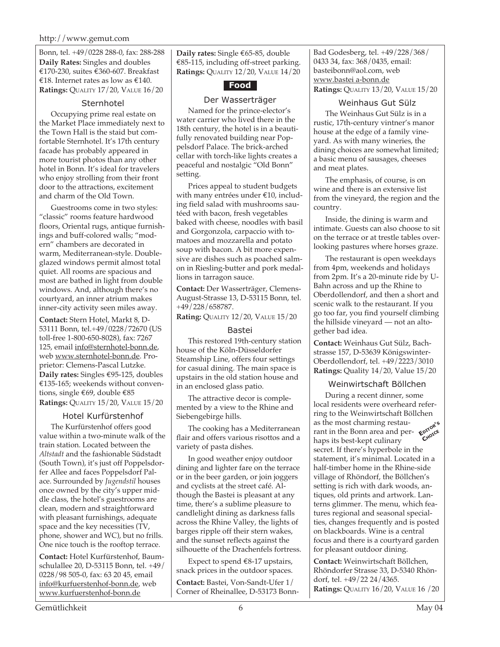#### http://www.gemut.com

Bonn, tel. +49/0228 288-0, fax: 288-288 **Daily Rates:** Singles and doubles €170-230, suites €360-607. Breakfast €18. Internet rates as low as €140. **Ratings:** QUALITY 17/20, VALUE 16/20

#### Sternhotel

Occupying prime real estate on the Market Place immediately next to the Town Hall is the staid but comfortable Sternhotel. It's 17th century facade has probably appeared in more tourist photos than any other hotel in Bonn. It's ideal for travelers who enjoy strolling from their front door to the attractions, excitement and charm of the Old Town.

Guestrooms come in two styles: "classic" rooms feature hardwood floors, Oriental rugs, antique furnishings and buff-colored walls; "modern" chambers are decorated in warm, Mediterranean-style. Doubleglazed windows permit almost total quiet. All rooms are spacious and most are bathed in light from double windows. And, although there's no courtyard, an inner atrium makes inner-city activity seen miles away.

**Contact:** Stern Hotel, Markt 8, D-53111 Bonn, tel.+49/0228/72670 (US toll-free 1-800-650-8028), fax: 7267 125, email info@sternhotel-bonn.de, web www.sternhotel-bonn.de. Proprietor: Clemens-Pascal Lutzke. **Daily rates:** Singles €95-125, doubles €135-165; weekends without conventions, single €69, double €85 **Ratings:** QUALITY 15/20, VALUE 15/20

#### Hotel Kurfürstenhof

The Kurfürstenhof offers good value within a two-minute walk of the train station. Located between the *Altstadt* and the fashionable Südstadt (South Town), it's just off Poppelsdorfer Allee and faces Poppelsdorf Palace. Surrounded by *Jugendstil* houses once owned by the city's upper middle class, the hotel's guestrooms are clean, modern and straightforward with pleasant furnishings, adequate space and the key necessities (TV, phone, shower and WC), but no frills. One nice touch is the rooftop terrace.

**Contact:** Hotel Kurfürstenhof, Baumschulallee 20, D-53115 Bonn, tel. +49/ 0228/98 505-0, fax: 63 20 45, email info@kurfuerstenhof-bonn.de, web www.kurfuerstenhof-bonn.de

**Daily rates:** Single €65-85, double €85-115, including off-street parking. **Ratings:** QUALITY 12/20, VALUE 14/20



#### Der Wasserträger

Named for the prince-elector's water carrier who lived there in the 18th century, the hotel is in a beautifully renovated building near Poppelsdorf Palace. The brick-arched cellar with torch-like lights creates a peaceful and nostalgic "Old Bonn" setting.

Prices appeal to student budgets with many entrées under €10, including field salad with mushrooms sautéed with bacon, fresh vegetables baked with cheese, noodles with basil and Gorgonzola, carpaccio with tomatoes and mozzarella and potato soup with bacon. A bit more expensive are dishes such as poached salmon in Riesling-butter and pork medallions in tarragon sauce.

**Contact:** Der Wasserträger, Clemens-August-Strasse 13, D-53115 Bonn, tel. +49/228/658787.

**Rating:** QUALITY 12/20, VALUE 15/20

## Bastei

This restored 19th-century station house of the Köln-Düsseldorfer Steamship Line, offers four settings for casual dining. The main space is upstairs in the old station house and in an enclosed glass patio.

The attractive decor is complemented by a view to the Rhine and Siebengebirge hills.

The cooking has a Mediterranean flair and offers various risottos and a variety of pasta dishes.

In good weather enjoy outdoor dining and lighter fare on the terrace or in the beer garden, or join joggers and cyclists at the street café. Although the Bastei is pleasant at any time, there's a sublime pleasure to candlelight dining as darkness falls across the Rhine Valley, the lights of barges ripple off their stern wakes, and the sunset reflects against the silhouette of the Drachenfels fortress.

Expect to spend  $\epsilon$ 8-17 upstairs, snack prices in the outdoor spaces.

**Contact:** Bastei, Von-Sandt-Ufer 1/ Corner of Rheinallee, D-53173 BonnBad Godesberg, tel. +49/228/368/ 0433 34, fax: 368/0435, email: basteibonn@aol.com, web www.bastei a-bonn.de **Ratings:** QUALITY 13/20, VALUE 15/20

### Weinhaus Gut Sülz

The Weinhaus Gut Sülz is in a rustic, 17th-century vintner's manor house at the edge of a family vineyard. As with many wineries, the dining choices are somewhat limited; a basic menu of sausages, cheeses and meat plates.

The emphasis, of course, is on wine and there is an extensive list from the vineyard, the region and the country.

Inside, the dining is warm and intimate. Guests can also choose to sit on the terrace or at trestle tables overlooking pastures where horses graze.

The restaurant is open weekdays from 4pm, weekends and holidays from 2pm. It's a 20-minute ride by U-Bahn across and up the Rhine to Oberdollendorf, and then a short and scenic walk to the restaurant. If you go too far, you find yourself climbing the hillside vineyard — not an altogether bad idea.

**Contact:** Weinhaus Gut Sülz, Bachstrasse 157, D-53639 Königswinter-Oberdollendorf, tel. +49/2223/3010 **Ratings:** Quality 14/20, Value 15/20

## Weinwirtschaft Böllchen

as the most charming restau-<br>**rant in the Bonn area and per-CHOICE** During a recent dinner, some local residents were overheard referring to the Weinwirtschaft Böllchen rant in the Bonn area and perhaps its best-kept culinary secret. If there's hyperbole in the statement, it's minimal. Located in a half-timber home in the Rhine-side village of Rhöndorf, the Böllchen's setting is rich with dark woods, antiques, old prints and artwork. Lanterns glimmer. The menu, which features regional and seasonal specialties, changes frequently and is posted on blackboards. Wine is a central focus and there is a courtyard garden for pleasant outdoor dining.

**Contact:** Weinwirtschaft Böllchen, Rhöndorfer Strasse 33, D-5340 Rhöndorf, tel. +49/22 24/4365. **Ratings:** QUALITY 16/20, VALUE 16 /20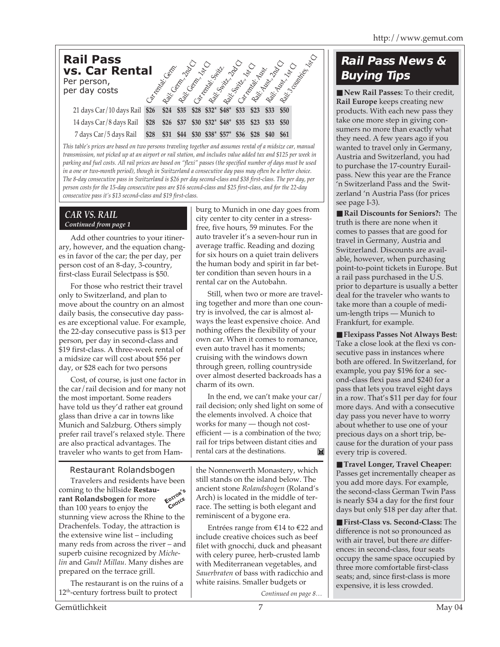| <b>Rail Pass</b><br><b>vs. Car Rental</b><br>Per person,<br>per day costs |      | Razic General Radio<br>Cartonical Contract | Railway 1480 |      | Carl Kopies String | Railways Rep O<br>Repilled Marie |      | List<br>Cartonal Maria | Reit du Grand Davis<br>Railway Mary |      | Raiz, a contrator da |
|---------------------------------------------------------------------------|------|--------------------------------------------|--------------|------|--------------------|----------------------------------|------|------------------------|-------------------------------------|------|----------------------|
| 21 days Car/10 days Rail \$26                                             |      |                                            |              |      |                    | \$24 \$35 \$28 \$32* \$48* \$33  |      | \$23                   | \$33                                | \$50 |                      |
| 14 days Car/8 days Rail                                                   | \$28 | \$26                                       | \$37         |      |                    | $$30$ $$32^*$ $$48^*$            | \$35 | \$23                   | \$33                                | \$50 |                      |
| 7 days Car/5 days Rail                                                    | \$28 | \$31                                       | \$44         | \$30 | $$38^*$ \$57*      |                                  | \$36 |                        |                                     |      |                      |

*This table's prices are based on two persons traveling together and assumes rental of a midsize car, manual transmission, not picked up at an airport or rail station, and includes value added tax and \$125 per week in parking and fuel costs. All rail prices are based on "flexi" passes (the specified number of days must be used in a one or two-month period), though in Switzerland a consecutive day pass may often be a better choice. The 8-day consecutive pass in Switzerland is \$26 per day second-class and \$38 first-class. The per day, per person costs for the 15-day consecutive pass are \$16 second-class and \$25 first-class, and for the 22-day consecutive pass it's \$13 second-class and \$19 first-class.*

### *CAR VS. RAIL Continued from page 1*

Add other countries to your itinerary, however, and the equation changes in favor of the car; the per day, per person cost of an 8-day, 3-country, first-class Eurail Selectpass is \$50.

For those who restrict their travel only to Switzerland, and plan to move about the country on an almost daily basis, the consecutive day passes are exceptional value. For example, the 22-day consecutive pass is \$13 per person, per day in second-class and \$19 first-class. A three-week rental of a midsize car will cost about \$56 per day, or \$28 each for two persons

Cost, of course, is just one factor in the car/rail decision and for many not the most important. Some readers have told us they'd rather eat ground glass than drive a car in towns like Munich and Salzburg. Others simply prefer rail travel's relaxed style. There are also practical advantages. The traveler who wants to get from Ham-

## Restaurant Rolandsbogen

Travelers and residents have been coming to the hillside **Restaurant Rolandsbogen** for more than 100 years to enjoy the stunning view across the Rhine to the Drachenfels. Today, the attraction is the extensive wine list – including many reds from across the river – and superb cuisine recognized by *Michelin* and *Gault Millau*. Many dishes are prepared on the terrace grill. **EDITOR'<sup>S</sup> CHOICE**

The restaurant is on the ruins of a 12<sup>th</sup>-century fortress built to protect

burg to Munich in one day goes from city center to city center in a stressfree, five hours, 59 minutes. For the auto traveler it's a seven-hour run in average traffic. Reading and dozing for six hours on a quiet train delivers the human body and spirit in far better condition than seven hours in a rental car on the Autobahn.

Still, when two or more are traveling together and more than one country is involved, the car is almost always the least expensive choice. And nothing offers the flexibility of your own car. When it comes to romance, even auto travel has it moments; cruising with the windows down through green, rolling countryside over almost deserted backroads has a charm of its own.

In the end, we can't make your car/ rail decision; only shed light on some of the elements involved. A choice that works for many — though not costefficient — is a combination of the two; rail for trips between distant cities and rental cars at the destinations. ĨX.

the Nonnenwerth Monastery, which still stands on the island below. The ancient stone *Rolandsbogen* (Roland's Arch) is located in the middle of terrace. The setting is both elegant and reminiscent of a bygone era.

Entrées range from €14 to €22 and include creative choices such as beef filet with gnocchi, duck and pheasant with celery puree, herb-crusted lamb with Mediterranean vegetables, and *Sauerbraten* of bass with radicchio and white raisins. Smaller budgets or

*Continued on page 8…*

# **Rail Pass News & Buying Tips**

■ **New Rail Passes:** To their credit, **Rail Europe** keeps creating new products. With each new pass they take one more step in giving consumers no more than exactly what they need. A few years ago if you wanted to travel only in Germany, Austria and Switzerland, you had to purchase the 17-country Eurailpass. New this year are the France 'n Switzerland Pass and the Switzerland 'n Austria Pass (for prices see page I-3).

■ **Rail Discounts for Seniors**?: The truth is there are none when it comes to passes that are good for travel in Germany, Austria and Switzerland. Discounts are available, however, when purchasing point-to-point tickets in Europe. But a rail pass purchased in the U.S. prior to departure is usually a better deal for the traveler who wants to take more than a couple of medium-length trips — Munich to Frankfurt, for example.

■ **Flexipass Passes Not Always Best:** Take a close look at the flexi vs consecutive pass in instances where both are offered. In Switzerland, for example, you pay \$196 for a second-class flexi pass and \$240 for a pass that lets you travel eight days in a row. That's \$11 per day for four more days. And with a consecutive day pass you never have to worry about whether to use one of your precious days on a short trip, because for the duration of your pass every trip is covered.

■ **Travel Longer, Travel Cheaper:** Passes get incrementally cheaper as you add more days. For example, the second-class German Twin Pass is nearly \$34 a day for the first four days but only \$18 per day after that.

■ **First-Class vs. Second-Class:** The difference is not so pronounced as with air travel, but there *are* differences: in second-class, four seats occupy the same space occupied by three more comfortable first-class seats; and, since first-class is more expensive, it is less crowded.